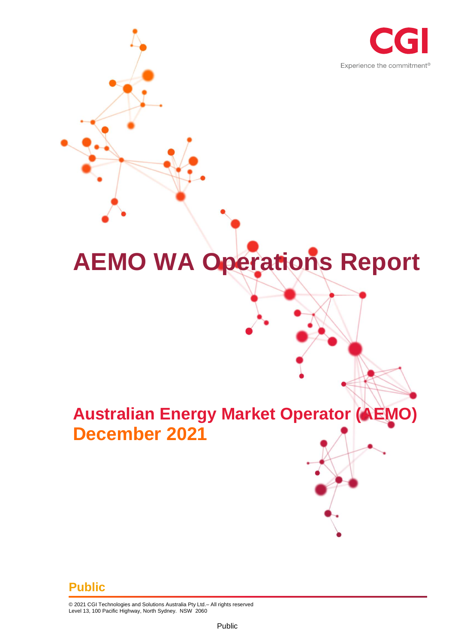

# **AEMO WA Operations Report**

## **Australian Energy Market Operator (AEMO) December 2021**

#### **Public**

© 2021 CGI Technologies and Solutions Australia Pty Ltd.– All rights reserved Level 13, 100 Pacific Highway, North Sydney. NSW 2060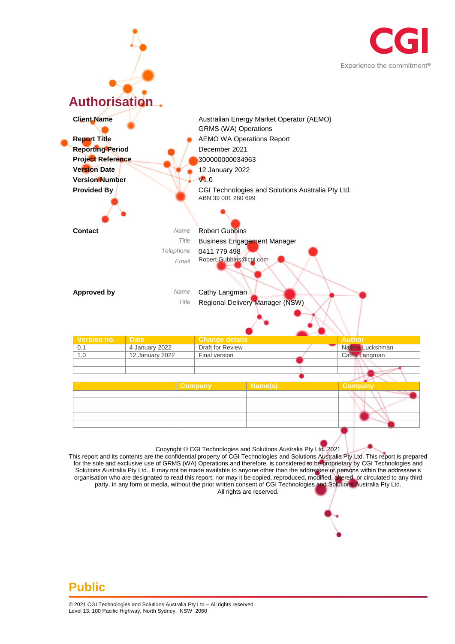



for the sole and exclusive use of GRMS (WA) Operations and therefore, is considered to be proprietary by CGI Technologies and Solutions Australia Pty Ltd.. It may not be made available to anyone other than the addressee or persons within the addressee's organisation who are designated to read this report; nor may it be copied, reproduced, modified, altered, or circulated to any third party, in any form or media, without the prior written consent of CGI Technologies and Solutions Australia Pty Ltd. All rights are reserved.

#### **Public**

© 2021 CGI Technologies and Solutions Australia Pty Ltd.– All rights reserved Level 13, 100 Pacific Highway, North Sydney. NSW 2060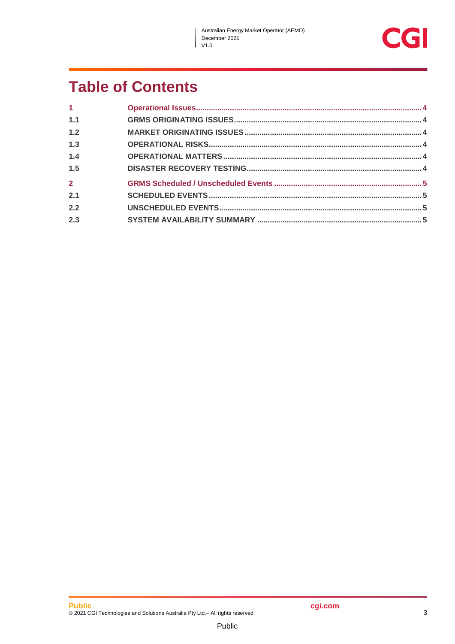$\overline{\phantom{a}}$ 



## **Table of Contents**

| $\mathbf{1}$   |  |
|----------------|--|
| 1.1            |  |
| 1.2            |  |
| 1.3            |  |
| 1.4            |  |
| 1.5            |  |
| $\overline{2}$ |  |
| 2.1            |  |
| 2.2            |  |
| 2.3            |  |

Public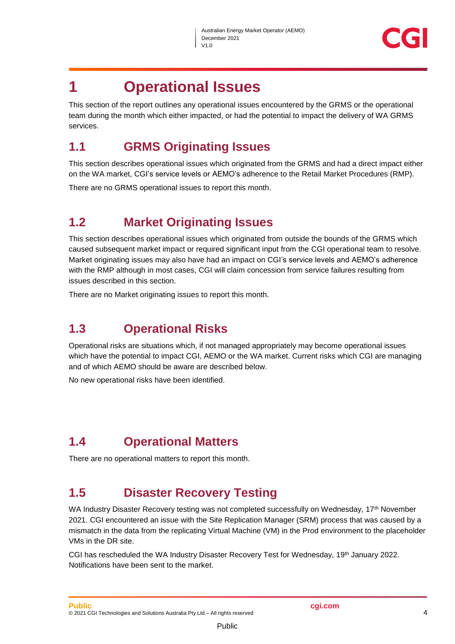

### <span id="page-3-0"></span>**1 Operational Issues**

This section of the report outlines any operational issues encountered by the GRMS or the operational team during the month which either impacted, or had the potential to impact the delivery of WA GRMS services.

#### <span id="page-3-1"></span>**1.1 GRMS Originating Issues**

This section describes operational issues which originated from the GRMS and had a direct impact either on the WA market, CGI's service levels or AEMO's adherence to the Retail Market Procedures (RMP).

There are no GRMS operational issues to report this month.

#### <span id="page-3-2"></span>**1.2 Market Originating Issues**

This section describes operational issues which originated from outside the bounds of the GRMS which caused subsequent market impact or required significant input from the CGI operational team to resolve. Market originating issues may also have had an impact on CGI's service levels and AEMO's adherence with the RMP although in most cases, CGI will claim concession from service failures resulting from issues described in this section.

There are no Market originating issues to report this month.

#### <span id="page-3-3"></span>**1.3 Operational Risks**

Operational risks are situations which, if not managed appropriately may become operational issues which have the potential to impact CGI, AEMO or the WA market. Current risks which CGI are managing and of which AEMO should be aware are described below.

No new operational risks have been identified.

#### <span id="page-3-4"></span>**1.4 Operational Matters**

There are no operational matters to report this month.

#### <span id="page-3-5"></span>**1.5 Disaster Recovery Testing**

WA Industry Disaster Recovery testing was not completed successfully on Wednesday, 17<sup>th</sup> November 2021. CGI encountered an issue with the Site Replication Manager (SRM) process that was caused by a mismatch in the data from the replicating Virtual Machine (VM) in the Prod environment to the placeholder VMs in the DR site.

CGI has rescheduled the WA Industry Disaster Recovery Test for Wednesday, 19th January 2022. Notifications have been sent to the market.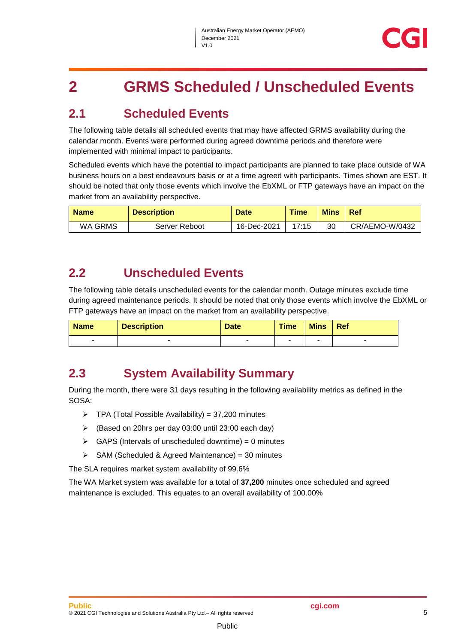## <span id="page-4-0"></span>**2 GRMS Scheduled / Unscheduled Events**

#### <span id="page-4-1"></span>**2.1 Scheduled Events**

The following table details all scheduled events that may have affected GRMS availability during the calendar month. Events were performed during agreed downtime periods and therefore were implemented with minimal impact to participants.

Scheduled events which have the potential to impact participants are planned to take place outside of WA business hours on a best endeavours basis or at a time agreed with participants. Times shown are EST. It should be noted that only those events which involve the EbXML or FTP gateways have an impact on the market from an availability perspective.

| <b>Name</b> | <b>Description</b> | <b>Date</b> | <b>Time</b> | <b>Mins</b> | Ref            |
|-------------|--------------------|-------------|-------------|-------------|----------------|
| WA GRMS     | Server Reboot      | 16-Dec-2021 | 17:15       | 30          | CR/AEMO-W/0432 |

#### <span id="page-4-2"></span>**2.2 Unscheduled Events**

The following table details unscheduled events for the calendar month. Outage minutes exclude time during agreed maintenance periods. It should be noted that only those events which involve the EbXML or FTP gateways have an impact on the market from an availability perspective.

| <b>Name</b>              | <b>Description</b> | <b>Date</b> | <b>Time</b> | <b>Mins</b> | <b>Ref</b> |
|--------------------------|--------------------|-------------|-------------|-------------|------------|
| $\overline{\phantom{a}}$ |                    | -           |             |             |            |

#### <span id="page-4-3"></span>**2.3 System Availability Summary**

During the month, there were 31 days resulting in the following availability metrics as defined in the SOSA:

- $\triangleright$  TPA (Total Possible Availability) = 37,200 minutes
- (Based on 20hrs per day 03:00 until 23:00 each day)
- $\triangleright$  GAPS (Intervals of unscheduled downtime) = 0 minutes
- $\triangleright$  SAM (Scheduled & Agreed Maintenance) = 30 minutes

The SLA requires market system availability of 99.6%

The WA Market system was available for a total of **37,200** minutes once scheduled and agreed maintenance is excluded. This equates to an overall availability of 100.00%

Public